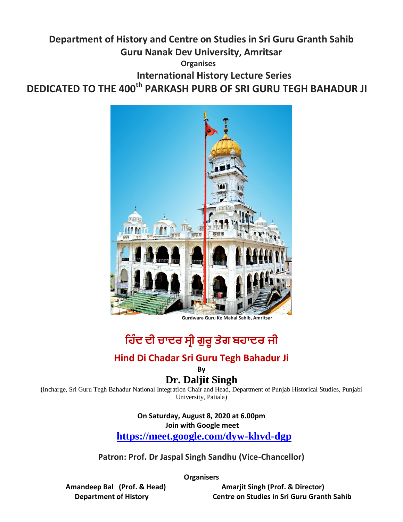## **Department of History and Centre on Studies in Sri Guru Granth Sahib Guru Nanak Dev University, Amritsar**

 **Organises**

 **International History Lecture Series**

**DEDICATED TO THE 400th PARKASH PURB OF SRI GURU TEGH BAHADUR JI** 



 **Gurdwara Guru Ke Mahal Sahib, Amritsar**

# **ਹ ਿੰਦ ਦੀ ਚਾਦਰ ਸ੍ਰੀ ਗੁਰ ੂ ਤਗ ਬ ਾਦਰ ਜੀ**

#### **Hind Di Chadar Sri Guru Tegh Bahadur Ji**

**By**

#### **Dr. Daljit Singh**

**(**Incharge, Sri Guru Tegh Bahadur National Integration Chair and Head, Department of Punjab Historical Studies, Punjabi University, Patiala)

### **On Saturday, August 8, 2020 at 6.00pm**

**Join with Google meet** 

**<https://meet.google.com/dyw-khvd-dgp>**

**Patron: Prof. Dr Jaspal Singh Sandhu (Vice-Chancellor)**

**Organisers**

 **Amandeep Bal (Prof. & Head) Amarjit Singh (Prof. & Director) Department of History Centre on Studies in Sri Guru Granth Sahib**